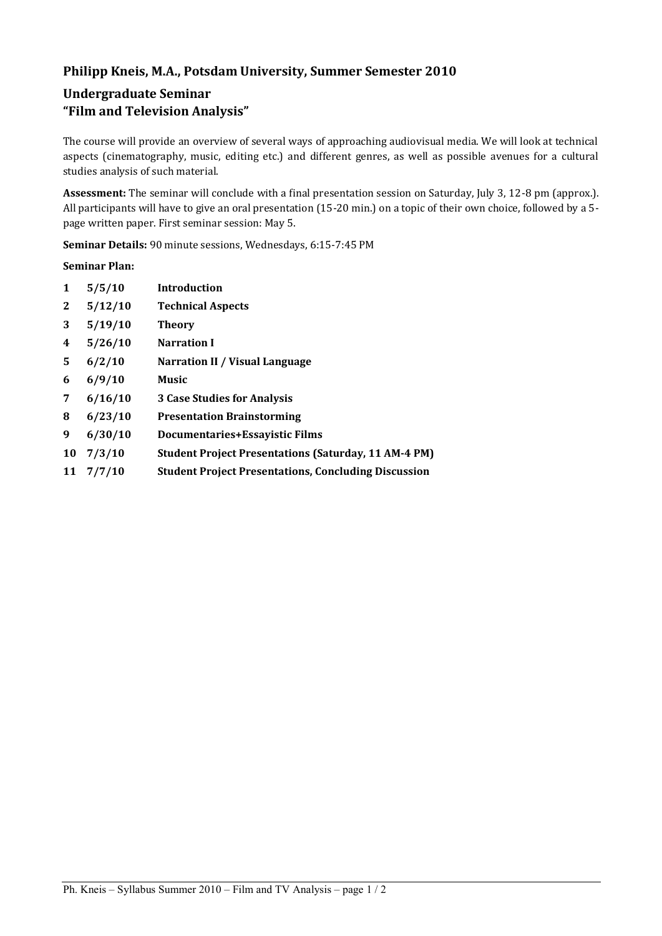# **Philipp Kneis, M.A., Potsdam University, Summer Semester 2010**

# **Undergraduate Seminar "Film and Television Analysis"**

The course will provide an overview of several ways of approaching audiovisual media. We will look at technical aspects (cinematography, music, editing etc.) and different genres, as well as possible avenues for a cultural studies analysis of such material.

**Assessment:** The seminar will conclude with a final presentation session on Saturday, July 3, 12-8 pm (approx.). All participants will have to give an oral presentation (15-20 min.) on a topic of their own choice, followed by a 5 page written paper. First seminar session: May 5.

**Seminar Details:** 90 minute sessions, Wednesdays, 6:15-7:45 PM

## **Seminar Plan:**

| 1            | 5/5/10  | <b>Introduction</b>                                         |
|--------------|---------|-------------------------------------------------------------|
| $\mathbf{2}$ | 5/12/10 | <b>Technical Aspects</b>                                    |
| 3            | 5/19/10 | <b>Theory</b>                                               |
| 4            | 5/26/10 | <b>Narration I</b>                                          |
| 5.           | 6/2/10  | Narration II / Visual Language                              |
| 6            | 6/9/10  | <b>Music</b>                                                |
| 7            | 6/16/10 | <b>3 Case Studies for Analysis</b>                          |
| 8            | 6/23/10 | <b>Presentation Brainstorming</b>                           |
| 9            | 6/30/10 | <b>Documentaries+Essayistic Films</b>                       |
| 10           | 7/3/10  | <b>Student Project Presentations (Saturday, 11 AM-4 PM)</b> |
| 11           | 7/7/10  | <b>Student Project Presentations, Concluding Discussion</b> |
|              |         |                                                             |